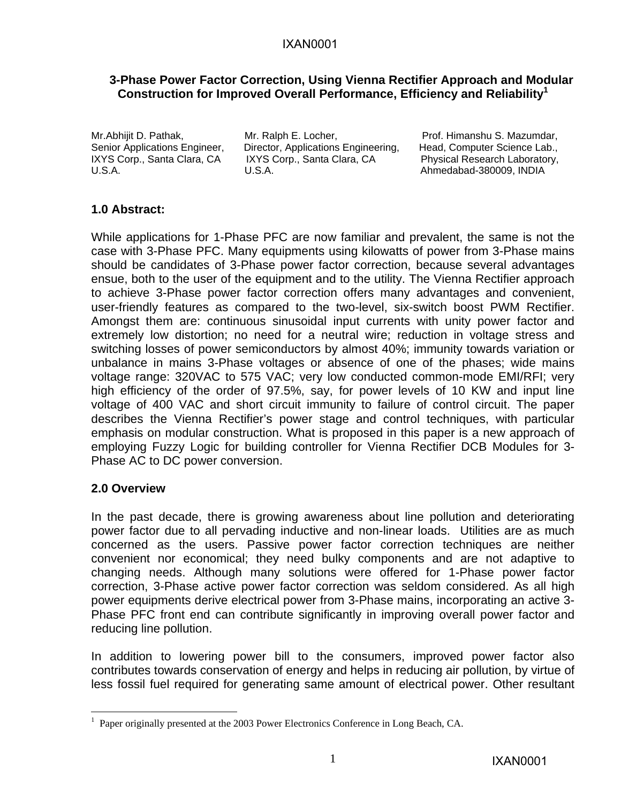#### **3-Phase Power Factor Correction, Using Vienna Rectifier Approach and Modular Construction for Improved Overall Performance, Efficiency and Reliability1**

Mr. Abhijit D. Pathak, Mr. Ralph E. Locher, Prof. Himanshu S. Mazumdar, Senior Applications Engineer, Director, Applications Engineering, Head, Computer Science Lab., IXYS Corp., Santa Clara, CA IXYS Corp., Santa Clara, CA Physical Research Laboratory, U.S.A. U.S.A. U.S.A. COMPOSED U.S.A. Ahmedabad-380009, INDIA

### **1.0 Abstract:**

While applications for 1-Phase PFC are now familiar and prevalent, the same is not the case with 3-Phase PFC. Many equipments using kilowatts of power from 3-Phase mains should be candidates of 3-Phase power factor correction, because several advantages ensue, both to the user of the equipment and to the utility. The Vienna Rectifier approach to achieve 3-Phase power factor correction offers many advantages and convenient, user-friendly features as compared to the two-level, six-switch boost PWM Rectifier. Amongst them are: continuous sinusoidal input currents with unity power factor and extremely low distortion; no need for a neutral wire; reduction in voltage stress and switching losses of power semiconductors by almost 40%; immunity towards variation or unbalance in mains 3-Phase voltages or absence of one of the phases; wide mains voltage range: 320VAC to 575 VAC; very low conducted common-mode EMI/RFI; very high efficiency of the order of 97.5%, say, for power levels of 10 KW and input line voltage of 400 VAC and short circuit immunity to failure of control circuit. The paper describes the Vienna Rectifier's power stage and control techniques, with particular emphasis on modular construction. What is proposed in this paper is a new approach of employing Fuzzy Logic for building controller for Vienna Rectifier DCB Modules for 3- Phase AC to DC power conversion.

### **2.0 Overview**

 $\overline{a}$ 

In the past decade, there is growing awareness about line pollution and deteriorating power factor due to all pervading inductive and non-linear loads. Utilities are as much concerned as the users. Passive power factor correction techniques are neither convenient nor economical; they need bulky components and are not adaptive to changing needs. Although many solutions were offered for 1-Phase power factor correction, 3-Phase active power factor correction was seldom considered. As all high power equipments derive electrical power from 3-Phase mains, incorporating an active 3- Phase PFC front end can contribute significantly in improving overall power factor and reducing line pollution.

In addition to lowering power bill to the consumers, improved power factor also contributes towards conservation of energy and helps in reducing air pollution, by virtue of less fossil fuel required for generating same amount of electrical power. Other resultant

<sup>1</sup> Paper originally presented at the 2003 Power Electronics Conference in Long Beach, CA.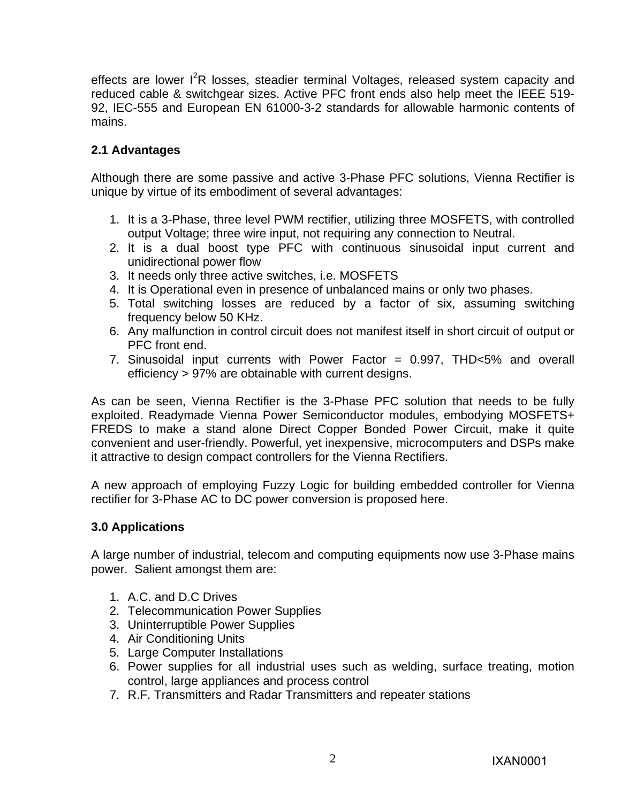effects are lower I<sup>2</sup>R losses, steadier terminal Voltages, released system capacity and reduced cable & switchgear sizes. Active PFC front ends also help meet the IEEE 519- 92, IEC-555 and European EN 61000-3-2 standards for allowable harmonic contents of mains.

# **2.1 Advantages**

Although there are some passive and active 3-Phase PFC solutions, Vienna Rectifier is unique by virtue of its embodiment of several advantages:

- 1. It is a 3-Phase, three level PWM rectifier, utilizing three MOSFETS, with controlled output Voltage; three wire input, not requiring any connection to Neutral.
- 2. It is a dual boost type PFC with continuous sinusoidal input current and unidirectional power flow
- 3. It needs only three active switches, i.e. MOSFETS
- 4. It is Operational even in presence of unbalanced mains or only two phases.
- 5. Total switching losses are reduced by a factor of six, assuming switching frequency below 50 KHz.
- 6. Any malfunction in control circuit does not manifest itself in short circuit of output or PFC front end.
- 7. Sinusoidal input currents with Power Factor = 0.997, THD<5% and overall efficiency > 97% are obtainable with current designs.

As can be seen, Vienna Rectifier is the 3-Phase PFC solution that needs to be fully exploited. Readymade Vienna Power Semiconductor modules, embodying MOSFETS+ FREDS to make a stand alone Direct Copper Bonded Power Circuit, make it quite convenient and user-friendly. Powerful, yet inexpensive, microcomputers and DSPs make it attractive to design compact controllers for the Vienna Rectifiers.

A new approach of employing Fuzzy Logic for building embedded controller for Vienna rectifier for 3-Phase AC to DC power conversion is proposed here.

### **3.0 Applications**

A large number of industrial, telecom and computing equipments now use 3-Phase mains power. Salient amongst them are:

- 1. A.C. and D.C Drives
- 2. Telecommunication Power Supplies
- 3. Uninterruptible Power Supplies
- 4. Air Conditioning Units
- 5. Large Computer Installations
- 6. Power supplies for all industrial uses such as welding, surface treating, motion control, large appliances and process control
- 7. R.F. Transmitters and Radar Transmitters and repeater stations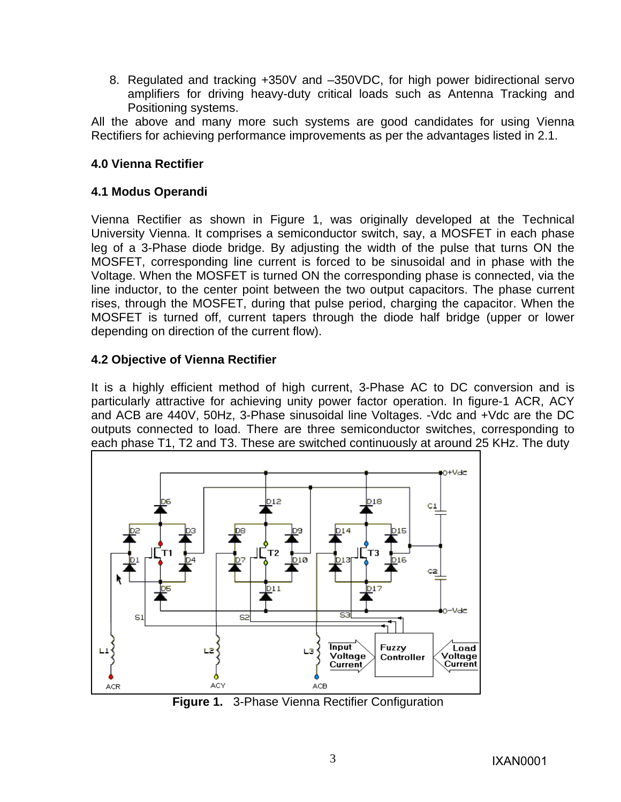8. Regulated and tracking +350V and –350VDC, for high power bidirectional servo amplifiers for driving heavy-duty critical loads such as Antenna Tracking and Positioning systems.

All the above and many more such systems are good candidates for using Vienna Rectifiers for achieving performance improvements as per the advantages listed in 2.1.

### **4.0 Vienna Rectifier**

### **4.1 Modus Operandi**

Vienna Rectifier as shown in Figure 1, was originally developed at the Technical University Vienna. It comprises a semiconductor switch, say, a MOSFET in each phase leg of a 3-Phase diode bridge. By adjusting the width of the pulse that turns ON the MOSFET, corresponding line current is forced to be sinusoidal and in phase with the Voltage. When the MOSFET is turned ON the corresponding phase is connected, via the line inductor, to the center point between the two output capacitors. The phase current rises, through the MOSFET, during that pulse period, charging the capacitor. When the MOSFET is turned off, current tapers through the diode half bridge (upper or lower depending on direction of the current flow).

### **4.2 Objective of Vienna Rectifier**

It is a highly efficient method of high current, 3-Phase AC to DC conversion and is particularly attractive for achieving unity power factor operation. In figure-1 ACR, ACY and ACB are 440V, 50Hz, 3-Phase sinusoidal line Voltages. -Vdc and +Vdc are the DC outputs connected to load. There are three semiconductor switches, corresponding to each phase T1, T2 and T3. These are switched continuously at around 25 KHz. The duty



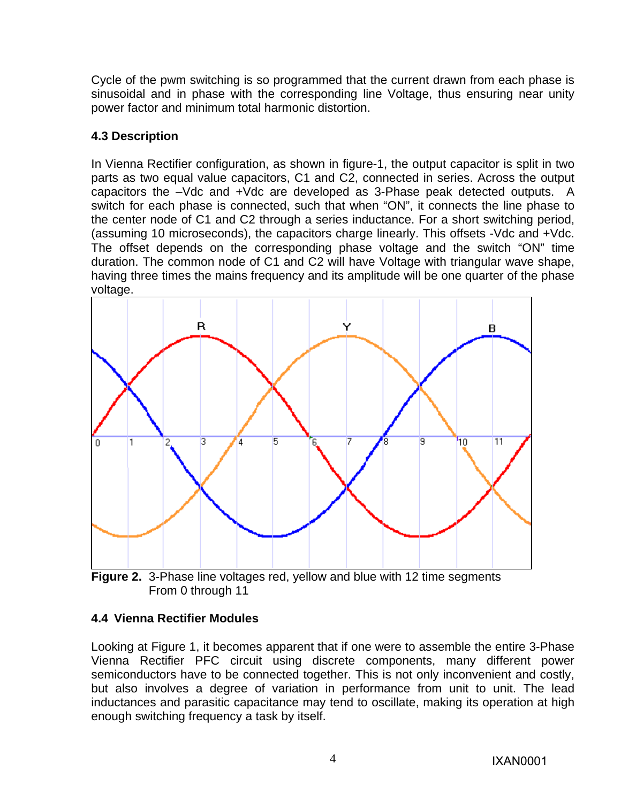Cycle of the pwm switching is so programmed that the current drawn from each phase is sinusoidal and in phase with the corresponding line Voltage, thus ensuring near unity power factor and minimum total harmonic distortion.

# **4.3 Description**

In Vienna Rectifier configuration, as shown in figure-1, the output capacitor is split in two parts as two equal value capacitors, C1 and C2, connected in series. Across the output capacitors the –Vdc and +Vdc are developed as 3-Phase peak detected outputs. A switch for each phase is connected, such that when "ON", it connects the line phase to the center node of C1 and C2 through a series inductance. For a short switching period, (assuming 10 microseconds), the capacitors charge linearly. This offsets -Vdc and +Vdc. The offset depends on the corresponding phase voltage and the switch "ON" time duration. The common node of C1 and C2 will have Voltage with triangular wave shape, having three times the mains frequency and its amplitude will be one quarter of the phase voltage.



 **Figure 2.** 3-Phase line voltages red, yellow and blue with 12 time segments From 0 through 11

### **4.4 Vienna Rectifier Modules**

Looking at Figure 1, it becomes apparent that if one were to assemble the entire 3-Phase Vienna Rectifier PFC circuit using discrete components, many different power semiconductors have to be connected together. This is not only inconvenient and costly, but also involves a degree of variation in performance from unit to unit. The lead inductances and parasitic capacitance may tend to oscillate, making its operation at high enough switching frequency a task by itself.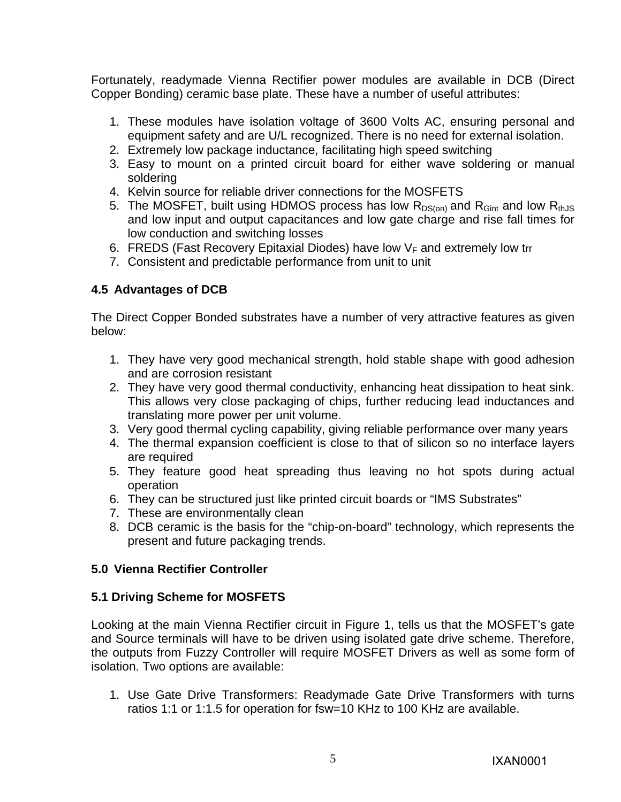Fortunately, readymade Vienna Rectifier power modules are available in DCB (Direct Copper Bonding) ceramic base plate. These have a number of useful attributes:

- 1. These modules have isolation voltage of 3600 Volts AC, ensuring personal and equipment safety and are U/L recognized. There is no need for external isolation.
- 2. Extremely low package inductance, facilitating high speed switching
- 3. Easy to mount on a printed circuit board for either wave soldering or manual soldering
- 4. Kelvin source for reliable driver connections for the MOSFETS
- 5. The MOSFET, built using HDMOS process has low  $R_{DS(0n)}$  and  $R_{Gint}$  and low  $R_{thJS}$ and low input and output capacitances and low gate charge and rise fall times for low conduction and switching losses
- 6. FREDS (Fast Recovery Epitaxial Diodes) have low  $V_F$  and extremely low trr
- 7. Consistent and predictable performance from unit to unit

### **4.5 Advantages of DCB**

The Direct Copper Bonded substrates have a number of very attractive features as given below:

- 1. They have very good mechanical strength, hold stable shape with good adhesion and are corrosion resistant
- 2. They have very good thermal conductivity, enhancing heat dissipation to heat sink. This allows very close packaging of chips, further reducing lead inductances and translating more power per unit volume.
- 3. Very good thermal cycling capability, giving reliable performance over many years
- 4. The thermal expansion coefficient is close to that of silicon so no interface layers are required
- 5. They feature good heat spreading thus leaving no hot spots during actual operation
- 6. They can be structured just like printed circuit boards or "IMS Substrates"
- 7. These are environmentally clean
- 8. DCB ceramic is the basis for the "chip-on-board" technology, which represents the present and future packaging trends.

### **5.0 Vienna Rectifier Controller**

### **5.1 Driving Scheme for MOSFETS**

Looking at the main Vienna Rectifier circuit in Figure 1, tells us that the MOSFET's gate and Source terminals will have to be driven using isolated gate drive scheme. Therefore, the outputs from Fuzzy Controller will require MOSFET Drivers as well as some form of isolation. Two options are available:

1. Use Gate Drive Transformers: Readymade Gate Drive Transformers with turns ratios 1:1 or 1:1.5 for operation for fsw=10 KHz to 100 KHz are available.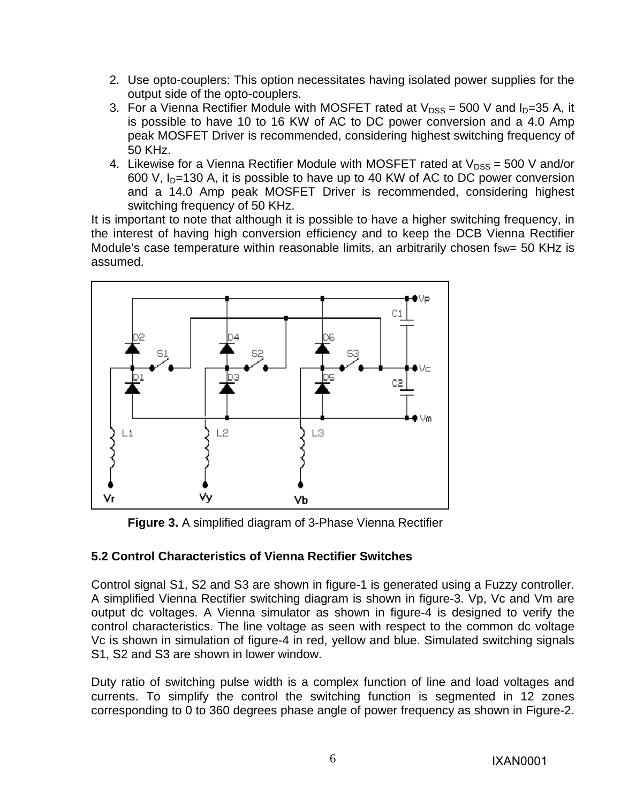- 2. Use opto-couplers: This option necessitates having isolated power supplies for the output side of the opto-couplers.
- 3. For a Vienna Rectifier Module with MOSFET rated at  $V_{DSS} = 500$  V and  $I_D = 35$  A, it is possible to have 10 to 16 KW of AC to DC power conversion and a 4.0 Amp peak MOSFET Driver is recommended, considering highest switching frequency of 50 KHz.
- 4. Likewise for a Vienna Rectifier Module with MOSFET rated at  $V_{DSS} = 500$  V and/or 600 V,  $I<sub>D</sub>=130$  A, it is possible to have up to 40 KW of AC to DC power conversion and a 14.0 Amp peak MOSFET Driver is recommended, considering highest switching frequency of 50 KHz.

It is important to note that although it is possible to have a higher switching frequency, in the interest of having high conversion efficiency and to keep the DCB Vienna Rectifier Module's case temperature within reasonable limits, an arbitrarily chosen fsw= 50 KHz is assumed.



**Figure 3.** A simplified diagram of 3-Phase Vienna Rectifier

# **5.2 Control Characteristics of Vienna Rectifier Switches**

Control signal S1, S2 and S3 are shown in figure-1 is generated using a Fuzzy controller. A simplified Vienna Rectifier switching diagram is shown in figure-3. Vp, Vc and Vm are output dc voltages. A Vienna simulator as shown in figure-4 is designed to verify the control characteristics. The line voltage as seen with respect to the common dc voltage Vc is shown in simulation of figure-4 in red, yellow and blue. Simulated switching signals S1, S2 and S3 are shown in lower window.

Duty ratio of switching pulse width is a complex function of line and load voltages and currents. To simplify the control the switching function is segmented in 12 zones corresponding to 0 to 360 degrees phase angle of power frequency as shown in Figure-2.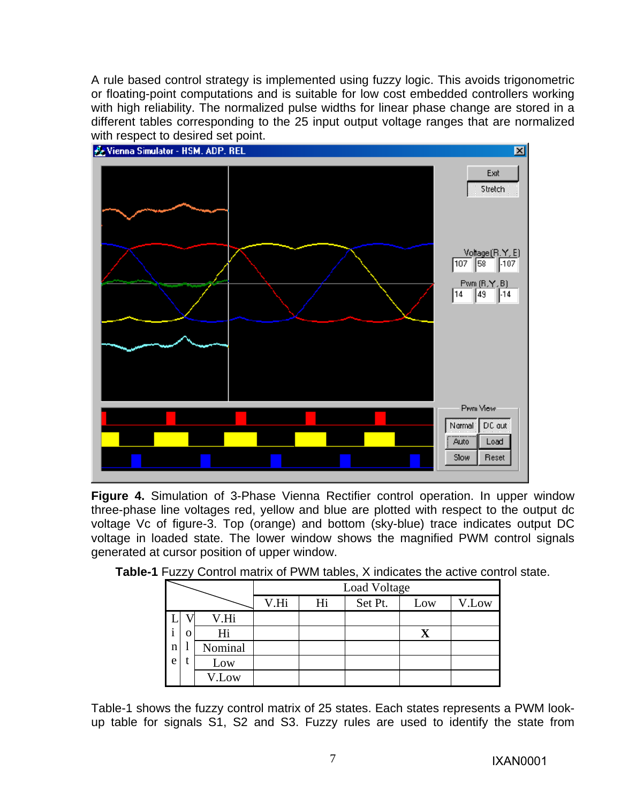A rule based control strategy is implemented using fuzzy logic. This avoids trigonometric or floating-point computations and is suitable for low cost embedded controllers working with high reliability. The normalized pulse widths for linear phase change are stored in a different tables corresponding to the 25 input output voltage ranges that are normalized



**Figure 4.** Simulation of 3-Phase Vienna Rectifier control operation. In upper window three-phase line voltages red, yellow and blue are plotted with respect to the output dc voltage Vc of figure-3. Top (orange) and bottom (sky-blue) trace indicates output DC voltage in loaded state. The lower window shows the magnified PWM control signals generated at cursor position of upper window.

|              |   |         | Load Voltage |    |         |     |       |
|--------------|---|---------|--------------|----|---------|-----|-------|
|              |   |         | V.Hi         | Hi | Set Pt. | Low | V.Low |
|              |   | V.Hi    |              |    |         |     |       |
| $\mathbf{1}$ | О | Hi      |              |    |         | X   |       |
| n            |   | Nominal |              |    |         |     |       |
| e            |   | Low     |              |    |         |     |       |
|              |   | V.Low   |              |    |         |     |       |

**Table-1** Fuzzy Control matrix of PWM tables, X indicates the active control state.

Table-1 shows the fuzzy control matrix of 25 states. Each states represents a PWM lookup table for signals S1, S2 and S3. Fuzzy rules are used to identify the state from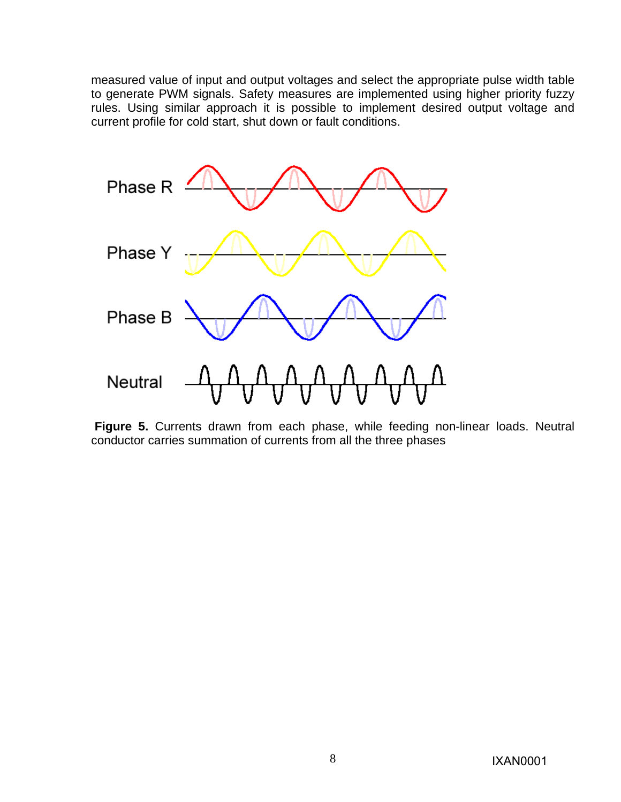measured value of input and output voltages and select the appropriate pulse width table to generate PWM signals. Safety measures are implemented using higher priority fuzzy rules. Using similar approach it is possible to implement desired output voltage and current profile for cold start, shut down or fault conditions.



**Figure 5.** Currents drawn from each phase, while feeding non-linear loads. Neutral conductor carries summation of currents from all the three phases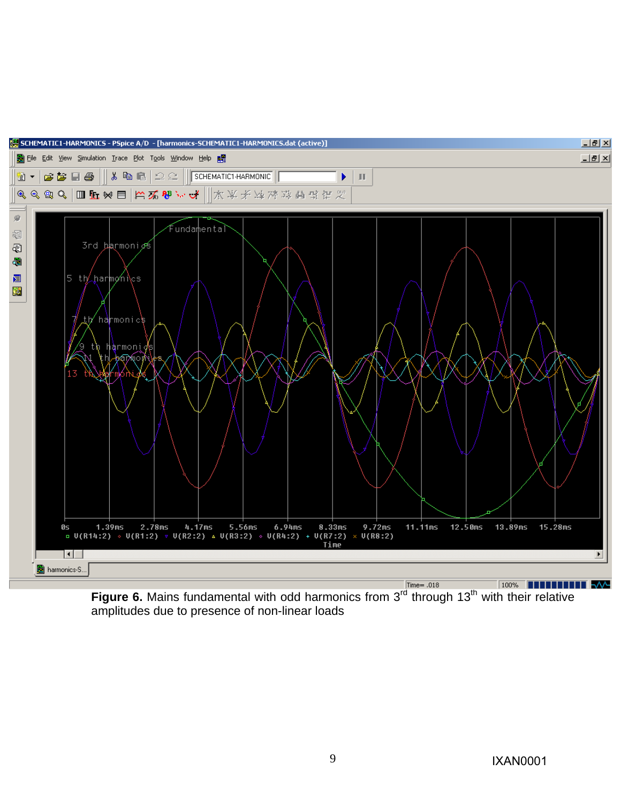

**Figure 6.** Mains fundamental with odd harmonics from 3<sup>rd</sup> through 13<sup>th</sup> with their relative amplitudes due to presence of non-linear loads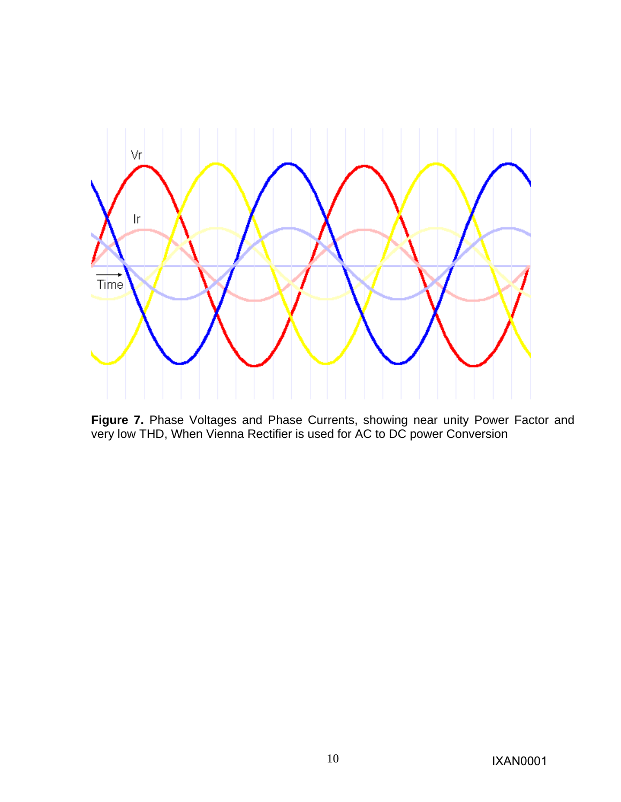

**Figure 7.** Phase Voltages and Phase Currents, showing near unity Power Factor and very low THD, When Vienna Rectifier is used for AC to DC power Conversion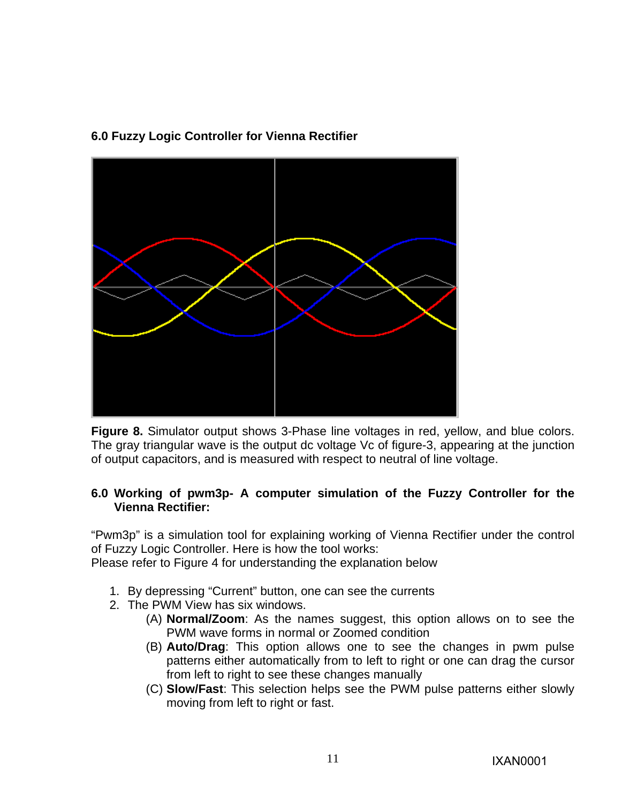### **6.0 Fuzzy Logic Controller for Vienna Rectifier**



**Figure 8.** Simulator output shows 3-Phase line voltages in red, yellow, and blue colors. The gray triangular wave is the output dc voltage Vc of figure-3, appearing at the junction of output capacitors, and is measured with respect to neutral of line voltage.

#### **6.0 Working of pwm3p- A computer simulation of the Fuzzy Controller for the Vienna Rectifier:**

"Pwm3p" is a simulation tool for explaining working of Vienna Rectifier under the control of Fuzzy Logic Controller. Here is how the tool works:

Please refer to Figure 4 for understanding the explanation below

- 1. By depressing "Current" button, one can see the currents
- 2. The PWM View has six windows.
	- (A) **Normal/Zoom**: As the names suggest, this option allows on to see the PWM wave forms in normal or Zoomed condition
	- (B) **Auto/Drag**: This option allows one to see the changes in pwm pulse patterns either automatically from to left to right or one can drag the cursor from left to right to see these changes manually
	- (C) **Slow/Fast**: This selection helps see the PWM pulse patterns either slowly moving from left to right or fast.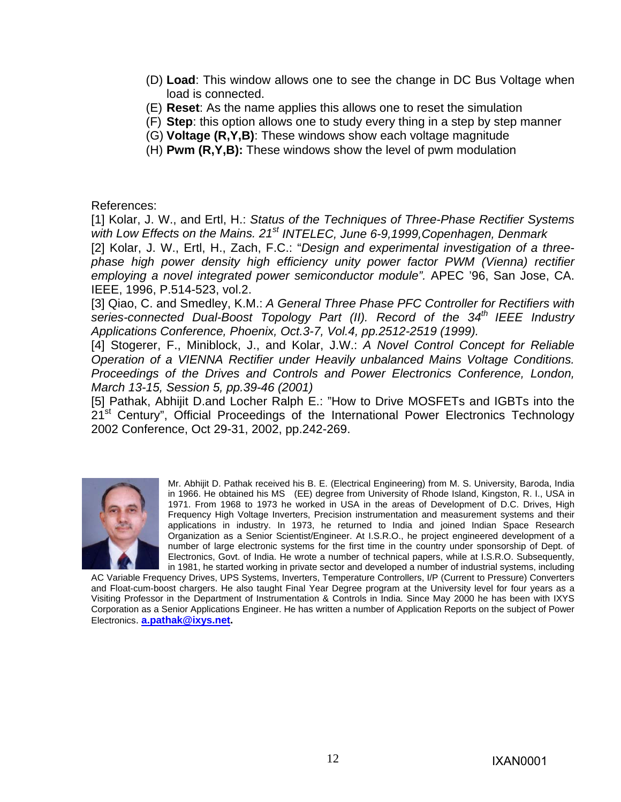- (D) **Load**: This window allows one to see the change in DC Bus Voltage when load is connected.
- (E) **Reset**: As the name applies this allows one to reset the simulation
- (F) **Step**: this option allows one to study every thing in a step by step manner
- (G) **Voltage (R,Y,B)**: These windows show each voltage magnitude
- (H) **Pwm (R,Y,B):** These windows show the level of pwm modulation

References:

[1] Kolar, J. W., and Ertl, H.: *Status of the Techniques of Three-Phase Rectifier Systems*  with Low Effects on the Mains. 21<sup>st</sup> INTELEC, June 6-9, 1999, Copenhagen, Denmark [2] Kolar, J. W., Ertl, H., Zach, F.C.: "*Design and experimental investigation of a threephase high power density high efficiency unity power factor PWM (Vienna) rectifier employing a novel integrated power semiconductor module".* APEC '96, San Jose, CA. IEEE, 1996, P.514-523, vol.2.

[3] Qiao, C. and Smedley, K.M.: *A General Three Phase PFC Controller for Rectifiers with series-connected Dual-Boost Topology Part (II). Record of the 34th IEEE Industry Applications Conference, Phoenix, Oct.3-7, Vol.4, pp.2512-2519 (1999).*

[4] Stogerer, F., Miniblock, J., and Kolar, J.W.: *A Novel Control Concept for Reliable Operation of a VIENNA Rectifier under Heavily unbalanced Mains Voltage Conditions. Proceedings of the Drives and Controls and Power Electronics Conference, London, March 13-15, Session 5, pp.39-46 (2001)* 

[5] Pathak, Abhijit D.and Locher Ralph E.: "How to Drive MOSFETs and IGBTs into the 21<sup>st</sup> Century", Official Proceedings of the International Power Electronics Technology 2002 Conference, Oct 29-31, 2002, pp.242-269.



Mr. Abhijit D. Pathak received his B. E. (Electrical Engineering) from M. S. University, Baroda, India in 1966. He obtained his MS (EE) degree from University of Rhode Island, Kingston, R. I., USA in 1971. From 1968 to 1973 he worked in USA in the areas of Development of D.C. Drives, High Frequency High Voltage Inverters, Precision instrumentation and measurement systems and their applications in industry. In 1973, he returned to India and joined Indian Space Research Organization as a Senior Scientist/Engineer. At I.S.R.O., he project engineered development of a number of large electronic systems for the first time in the country under sponsorship of Dept. of Electronics, Govt. of India. He wrote a number of technical papers, while at I.S.R.O. Subsequently, in 1981, he started working in private sector and developed a number of industrial systems, including

AC Variable Frequency Drives, UPS Systems, Inverters, Temperature Controllers, I/P (Current to Pressure) Converters and Float-cum-boost chargers. He also taught Final Year Degree program at the University level for four years as a Visiting Professor in the Department of Instrumentation & Controls in India. Since May 2000 he has been with IXYS Corporation as a Senior Applications Engineer. He has written a number of Application Reports on the subject of Power Electronics. **a.pathak@ixys.net.**